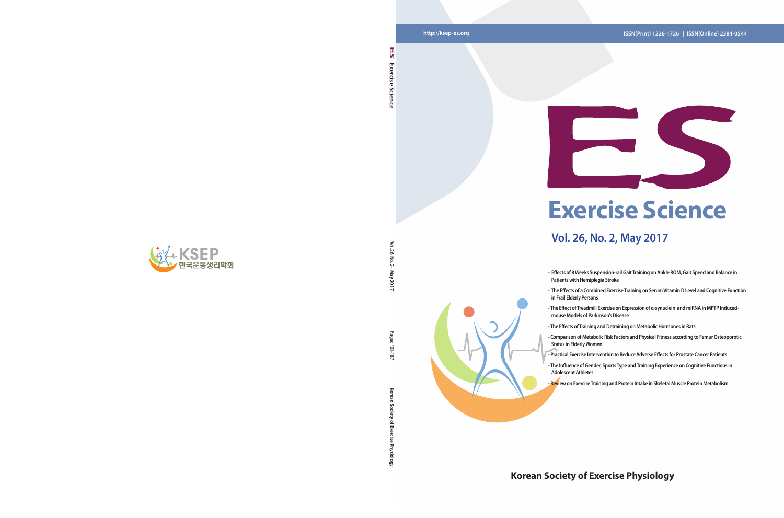**Korean Society of Exercise Physiology** Pages 103-167 103-167 ਨ

Gold

#### **http://ksep-es.org ISSN(Print) 1226-1726 | ISSN(Online) 2384-0544**

### **Korean Society of Exercise Physiology**





 $\leq$ **Vol. 26 No. 2 · May 2017** Σć  $\overline{5}$  $\sim$ - May 2017

Pages



## **Vol. 26, No. 2, May 2017**

**- Effects of 8 Weeks Suspension-rail Gait Training on Ankle ROM, Gait Speed and Balance in** 

**- The Effects of a Combined Exercise Training on Serum Vitamin D Level and Cognitive Function** 

**- The Effect of Treadmill Exercise on Expression of α-synuclein and miRNA in MPTP Inducedmouse Models of Parkinson's Disease**

- The Effects of Training and Detraining on Metabolic Hormones in Rats<br>- Comparison of Metabolic Risk Factors and Physical Fitness according to Femur Osteoporotic

- **Patients with Hemiplegia Stroke**
- **in Frail Elderly Persons**
- 
- 
- 
- **Status in Elderly Women**
- **Adolescent Athletes**
- 

**- Practical Exercise Intervention to Reduce Adverse Effects for Prostate Cancer Patients**

**- The Influence of Gender, Sports Type and Training Experience on Cognitive Functions in** 

**- Review on Exercise Training and Protein Intake in Skeletal Muscle Protein Metabolism**